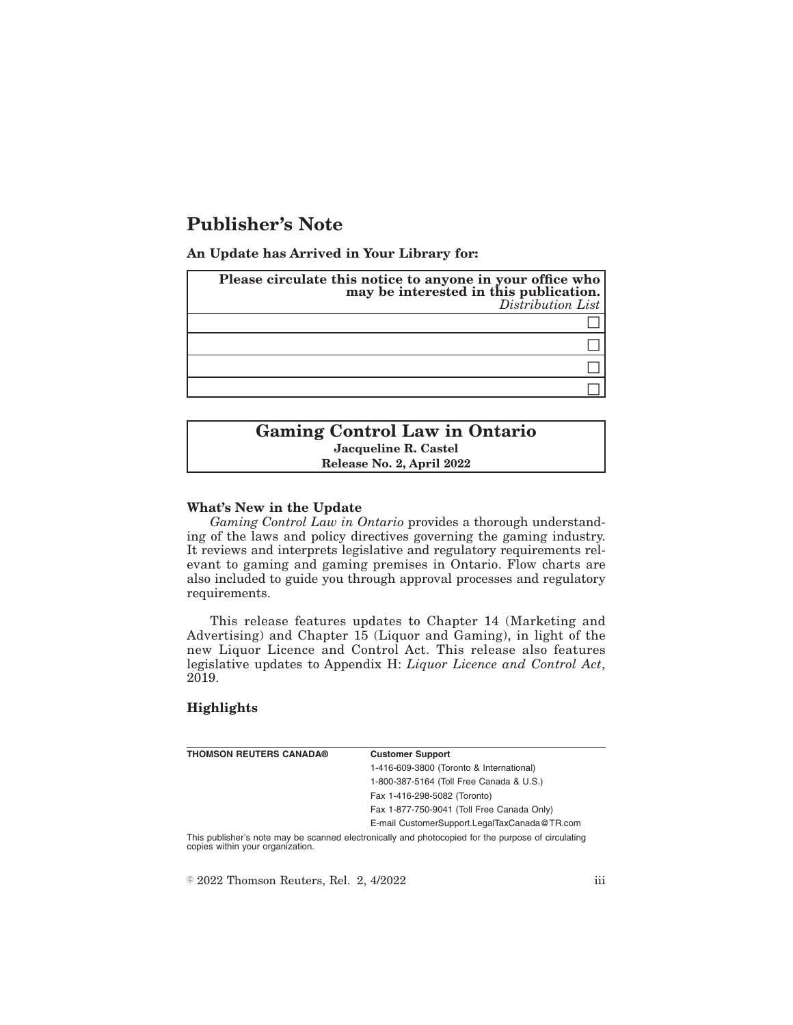# **Publisher's Note**

**An Update has Arrived in Your Library for:**

| Please circulate this notice to anyone in your office who<br>may be interested in this publication.<br>Distribution List |
|--------------------------------------------------------------------------------------------------------------------------|
|                                                                                                                          |
|                                                                                                                          |
|                                                                                                                          |
|                                                                                                                          |

## **Gaming Control Law in Ontario Jacqueline R. Castel Release No. 2, April 2022**

#### **What's New in the Update**

*Gaming Control Law in Ontario* provides a thorough understanding of the laws and policy directives governing the gaming industry. It reviews and interprets legislative and regulatory requirements relevant to gaming and gaming premises in Ontario. Flow charts are also included to guide you through approval processes and regulatory requirements.

This release features updates to Chapter 14 (Marketing and Advertising) and Chapter 15 (Liquor and Gaming), in light of the new Liquor Licence and Control Act. This release also features legislative updates to Appendix H: *Liquor Licence and Control Act*, 2019.

### **Highlights**

| THOMSON REUTERS CANADA® | <b>Customer Support</b>                  |
|-------------------------|------------------------------------------|
|                         | 1-416-609-3800 (Toronto & International) |
|                         | 1-800-387-5164 (Toll Free Canada & U.S.) |
|                         | Fax 1-416-298-5082 (Toronto)             |
|                         |                                          |

Fax 1-877-750-9041 (Toll Free Canada Only) E-mail CustomerSupport.LegalTaxCanada@TR.com

This publisher's note may be scanned electronically and photocopied for the purpose of circulating copies within your organization.

 $\textdegree$  2022 Thomson Reuters, Rel. 2, 4/2022